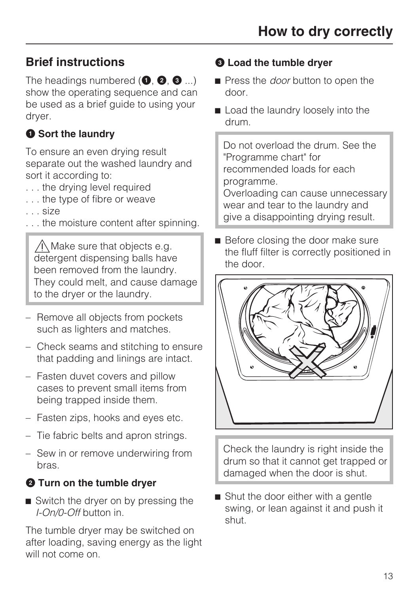# **Brief instructions**

The headings numbered  $(①, ②, ③ ...)$ show the operating sequence and can be used as a brief guide to using your dryer.

## **O** Sort the laundry

To ensure an even drying result separate out the washed laundry and sort it according to:

- . . . the drying level required
- . . . the type of fibre or weave
- . . . size
- . . . the moisture content after spinning.

 $\bigwedge$  Make sure that objects e.g. detergent dispensing balls have been removed from the laundry. They could melt, and cause damage to the dryer or the laundry.

- Remove all objects from pockets such as lighters and matches.
- Check seams and stitching to ensure that padding and linings are intact.
- Fasten duvet covers and pillow cases to prevent small items from being trapped inside them.
- Fasten zips, hooks and eyes etc.
- Tie fabric belts and apron strings.
- Sew in or remove underwiring from bras.

## **<sup>** $\bullet$ **</sup>** Turn on the tumble dryer

Switch the dryer on by pressing the *I-On/0-Off* button in.

The tumble dryer may be switched on after loading, saving energy as the light will not come on.

### **Load the tumble dryer**

- **Press the** *door* **button to open the** door.
- Load the laundry loosely into the drum.

Do not overload the drum. See the "Programme chart" for recommended loads for each programme. Overloading can cause unnecessary

wear and tear to the laundry and give a disappointing drying result.

Before closing the door make sure the fluff filter is correctly positioned in the door.



Check the laundry is right inside the drum so that it cannot get trapped or damaged when the door is shut.

■ Shut the door either with a gentle swing, or lean against it and push it shut.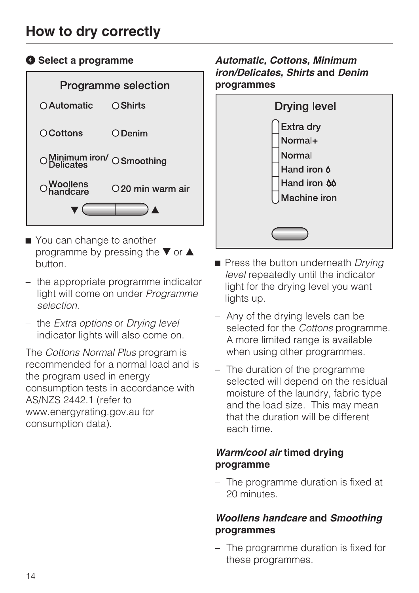# **How to dry correctly**

#### **<sup>O</sup>** Select a programme



- You can change to another programme by pressing the  $\nabla$  or  $\triangle$ button.
- the appropriate programme indicator light will come on under *Programme selection*.
- the *Extra options* or *Drying level* indicator lights will also come on.

The *Cottons Normal Plus* program is recommended for a normal load and is the program used in energy consumption tests in accordance with AS/NZS 2442.1 (refer to www.energyrating.gov.au for consumption data).

#### *Automatic, Cottons, Minimum iron/Delicates, Shirts* **and** *Denim* **programmes**



- **Press the button underneath Drying** *level* repeatedly until the indicator light for the drying level you want lights up.
- Any of the drying levels can be selected for the *Cottons* programme. A more limited range is available when using other programmes.
- The duration of the programme selected will depend on the residual moisture of the laundry, fabric type and the load size. This may mean that the duration will be different each time.

#### *Warm/cool air* **timed drying programme**

– The programme duration is fixed at 20 minutes.

#### *Woollens handcare* **and** *Smoothing* **programmes**

– The programme duration is fixed for these programmes.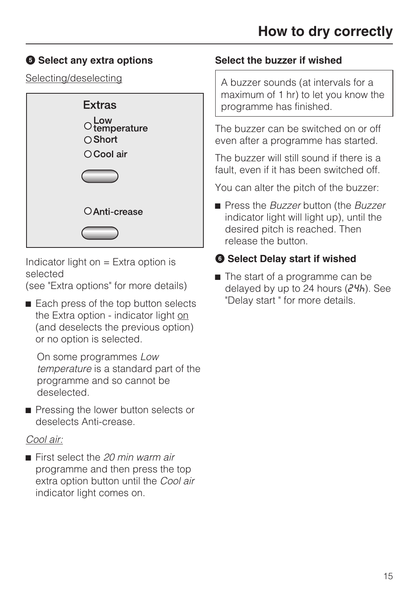## $\Theta$  Select any extra options

Selecting/deselecting



Indicator light on  $=$  Extra option is selected

(see "Extra options" for more details)

Each press of the top button selects the Extra option - indicator light on (and deselects the previous option) or no option is selected.

On some programmes *Low temperature* is a standard part of the programme and so cannot be deselected.

Pressing the lower button selects or deselects Anti-crease.

#### *Cool air:*

■ First select the 20 min warm air programme and then press the top extra option button until the *Cool air* indicator light comes on.

#### **Select the buzzer if wished**

A buzzer sounds (at intervals for a maximum of 1 hr) to let you know the programme has finished.

The buzzer can be switched on or off even after a programme has started.

The buzzer will still sound if there is a fault, even if it has been switched off.

You can alter the pitch of the buzzer:

 Press the *Buzzer* button (the *Buzzer* indicator light will light up), until the desired pitch is reached. Then release the button.

## **<b>** $\bullet$  Select Delay start if wished

■ The start of a programme can be delayed by up to 24 hours  $(24h)$ . See "Delay start " for more details.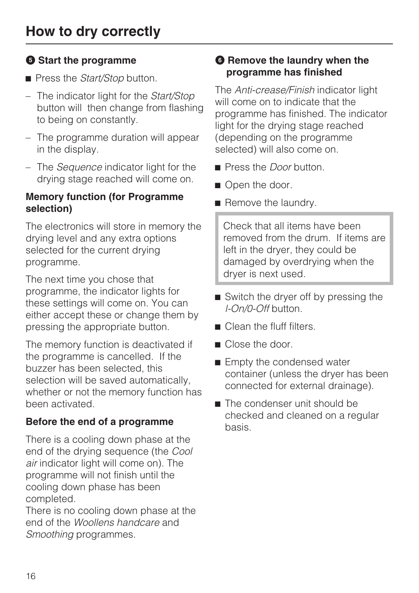## **<b>** $\Theta$  Start the programme

- **Press the** *Start/Stop* button.
- The indicator light for the *Start/Stop* button will then change from flashing to being on constantly.
- The programme duration will appear in the display.
- The *Sequence* indicator light for the drying stage reached will come on.

#### **Memory function (for Programme selection)**

The electronics will store in memory the drying level and any extra options selected for the current drying programme.

The next time you chose that programme, the indicator lights for these settings will come on. You can either accept these or change them by pressing the appropriate button.

The memory function is deactivated if the programme is cancelled. If the buzzer has been selected, this selection will be saved automatically, whether or not the memory function has been activated.

## **Before the end of a programme**

There is a cooling down phase at the end of the drying sequence (the *Cool air* indicator light will come on). The programme will not finish until the cooling down phase has been completed.

There is no cooling down phase at the end of the *Woollens handcare* and *Smoothing* programmes.

#### $\bullet$  **Remove the laundry when the programme has finished**

The *Anti-crease/Finish* indicator light will come on to indicate that the programme has finished. The indicator light for the drying stage reached (depending on the programme selected) will also come on.

- **Press the** *Door* button
- Open the door.
- Remove the laundry.

Check that all items have been removed from the drum. If items are left in the dryer, they could be damaged by overdrying when the dryer is next used.

- Switch the dryer off by pressing the *l-On/0-Off* button.
- Clean the fluff filters.
- Close the door.
- **Empty the condensed water** container (unless the dryer has been connected for external drainage).
- The condenser unit should be checked and cleaned on a regular basis.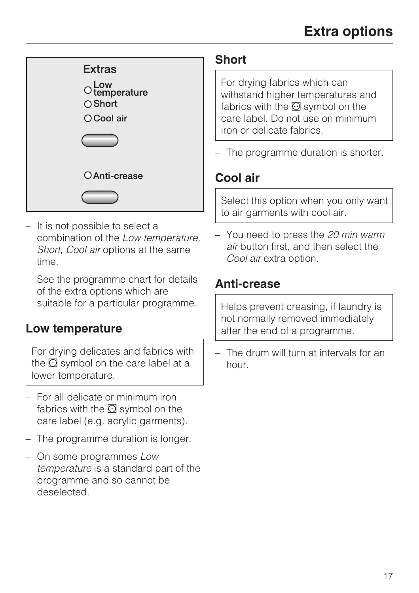

- It is not possible to select a combination of the *Low temperature, Short, Cool air* options at the same time.
- See the programme chart for details of the extra options which are suitable for a particular programme.

## **Low temperature**

For drying delicates and fabrics with the  $\odot$  symbol on the care label at a lower temperature.

- For all delicate or minimum iron fabrics with the  $\Omega$  symbol on the care label (e.g. acrylic garments).
- The programme duration is longer.
- On some programmes *Low temperature* is a standard part of the programme and so cannot be deselected.

## **Short**

For drying fabrics which can withstand higher temperatures and fabrics with the  $\overline{\omega}$  symbol on the care label. Do not use on minimum iron or delicate fabrics.

– The programme duration is shorter.

## **Cool air**

Select this option when you only want to air garments with cool air.

– You need to press the *20 min warm air* button first, and then select the *Cool air* extra option.

## **Anti-crease**

Helps prevent creasing, if laundry is not normally removed immediately after the end of a programme.

– The drum will turn at intervals for an hour.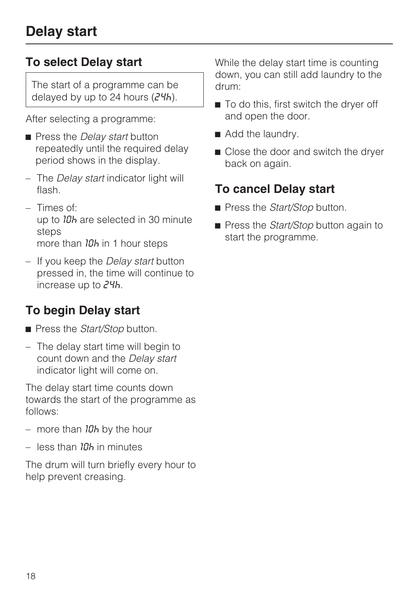## **To select Delay start**

The start of a programme can be delayed by up to 24 hours  $(24h)$ .

After selecting a programme:

- **Press the** *Delay start* **button** repeatedly until the required delay period shows in the display.
- The *Delay start* indicator light will flash.
- $-$  Times of: up to 10h are selected in 30 minute steps more than  $10<sub>h</sub>$  in 1 hour steps
- If you keep the *Delay start* button pressed in, the time will continue to increase up to  $24h$ .

# **To begin Delay start**

- **Press the** *Start/Stop* button.
- The delay start time will begin to count down and the *Delay start* indicator light will come on.

The delay start time counts down towards the start of the programme as follows:

- more than *10h* by the hour
- $-$  less than  $10<sub>b</sub>$  in minutes

The drum will turn briefly every hour to help prevent creasing.

While the delay start time is counting down, you can still add laundry to the drum:

- To do this, first switch the dryer off and open the door.
- Add the laundry.
- Close the door and switch the dryer back on again.

# **To cancel Delay start**

- **Press the** *Start/Stop* button.
- **Press the** *Start/Stop* button again to start the programme.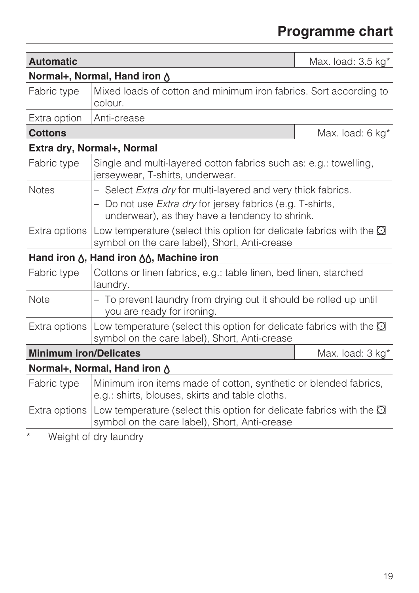# **Programme chart**

| <b>Automatic</b>                                                |                                                                                                                             | Max. load: $3.5$ kg <sup>*</sup> |  |
|-----------------------------------------------------------------|-----------------------------------------------------------------------------------------------------------------------------|----------------------------------|--|
| Normal+, Normal, Hand iron &                                    |                                                                                                                             |                                  |  |
| Fabric type                                                     | Mixed loads of cotton and minimum iron fabrics. Sort according to<br>colour.                                                |                                  |  |
| Extra option                                                    | Anti-crease                                                                                                                 |                                  |  |
| <b>Cottons</b>                                                  |                                                                                                                             | Max. load: 6 kg*                 |  |
| Extra dry, Normal+, Normal                                      |                                                                                                                             |                                  |  |
| Fabric type                                                     | Single and multi-layered cotton fabrics such as: e.g.: towelling,<br>jerseywear, T-shirts, underwear.                       |                                  |  |
| <b>Notes</b>                                                    | - Select Extra dry for multi-layered and very thick fabrics.                                                                |                                  |  |
|                                                                 | Do not use <i>Extra dry</i> for jersey fabrics (e.g. T-shirts,<br>underwear), as they have a tendency to shrink.            |                                  |  |
| Extra options                                                   | Low temperature (select this option for delicate fabrics with the $\Omega$<br>symbol on the care label), Short, Anti-crease |                                  |  |
| Hand iron $\Lambda$ , Hand iron $\Lambda\Lambda$ , Machine iron |                                                                                                                             |                                  |  |
| Fabric type                                                     | Cottons or linen fabrics, e.g.: table linen, bed linen, starched<br>laundry.                                                |                                  |  |
| Note                                                            | - To prevent laundry from drying out it should be rolled up until<br>you are ready for ironing.                             |                                  |  |
| Extra options                                                   | Low temperature (select this option for delicate fabrics with the $\Omega$<br>symbol on the care label), Short, Anti-crease |                                  |  |
| <b>Minimum iron/Delicates</b>                                   |                                                                                                                             | Max. load: 3 kg*                 |  |
| Normal+, Normal, Hand iron $\Diamond$                           |                                                                                                                             |                                  |  |
| Fabric type                                                     | Minimum iron items made of cotton, synthetic or blended fabrics,<br>e.g.: shirts, blouses, skirts and table cloths.         |                                  |  |
| Extra options                                                   | Low temperature (select this option for delicate fabrics with the $\Omega$<br>symbol on the care label), Short, Anti-crease |                                  |  |

\* Weight of dry laundry